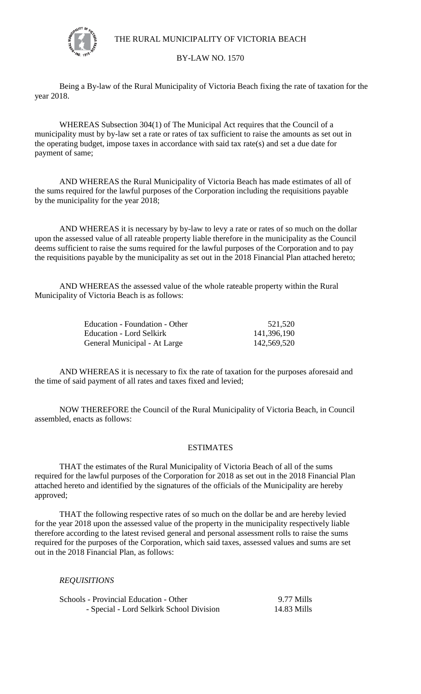

THE RURAL MUNICIPALITY OF VICTORIA BEACH

## BY-LAW NO. 1570

Being a By-law of the Rural Municipality of Victoria Beach fixing the rate of taxation for the year 2018.

WHEREAS Subsection 304(1) of The Municipal Act requires that the Council of a municipality must by by-law set a rate or rates of tax sufficient to raise the amounts as set out in the operating budget, impose taxes in accordance with said tax rate(s) and set a due date for payment of same;

AND WHEREAS the Rural Municipality of Victoria Beach has made estimates of all of the sums required for the lawful purposes of the Corporation including the requisitions payable by the municipality for the year 2018;

AND WHEREAS it is necessary by by-law to levy a rate or rates of so much on the dollar upon the assessed value of all rateable property liable therefore in the municipality as the Council deems sufficient to raise the sums required for the lawful purposes of the Corporation and to pay the requisitions payable by the municipality as set out in the 2018 Financial Plan attached hereto;

AND WHEREAS the assessed value of the whole rateable property within the Rural Municipality of Victoria Beach is as follows:

| Education - Foundation - Other | 521,520     |
|--------------------------------|-------------|
| Education - Lord Selkirk       | 141,396,190 |
| General Municipal - At Large   | 142,569,520 |

AND WHEREAS it is necessary to fix the rate of taxation for the purposes aforesaid and the time of said payment of all rates and taxes fixed and levied;

 NOW THEREFORE the Council of the Rural Municipality of Victoria Beach, in Council assembled, enacts as follows:

## ESTIMATES

THAT the estimates of the Rural Municipality of Victoria Beach of all of the sums required for the lawful purposes of the Corporation for 2018 as set out in the 2018 Financial Plan attached hereto and identified by the signatures of the officials of the Municipality are hereby approved;

THAT the following respective rates of so much on the dollar be and are hereby levied for the year 2018 upon the assessed value of the property in the municipality respectively liable therefore according to the latest revised general and personal assessment rolls to raise the sums required for the purposes of the Corporation, which said taxes, assessed values and sums are set out in the 2018 Financial Plan, as follows:

## *REQUISITIONS*

| Schools - Provincial Education - Other   | 9.77 Mills  |
|------------------------------------------|-------------|
| - Special - Lord Selkirk School Division | 14.83 Mills |